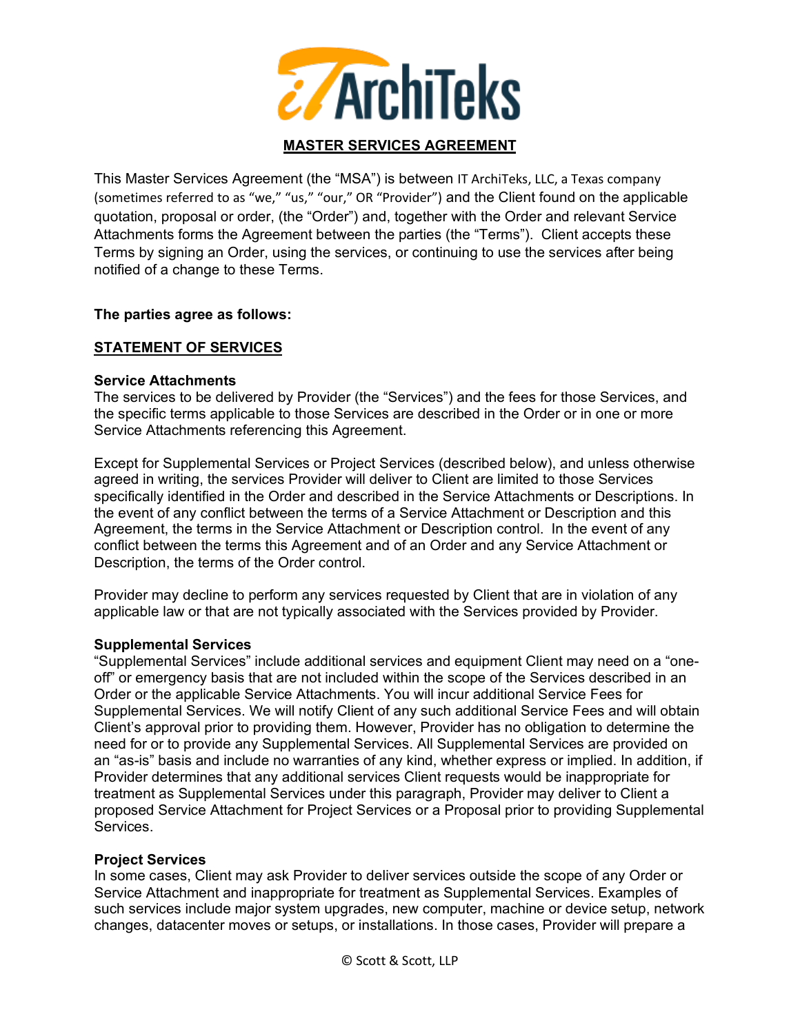

## **MASTER SERVICES AGREEMENT**

This Master Services Agreement (the "MSA") is between IT ArchiTeks, LLC, a Texas company (sometimes referred to as "we," "us," "our," OR "Provider") and the Client found on the applicable quotation, proposal or order, (the "Order") and, together with the Order and relevant Service Attachments forms the Agreement between the parties (the "Terms"). Client accepts these Terms by signing an Order, using the services, or continuing to use the services after being notified of a change to these Terms.

#### **The parties agree as follows:**

## **STATEMENT OF SERVICES**

#### **Service Attachments**

The services to be delivered by Provider (the "Services") and the fees for those Services, and the specific terms applicable to those Services are described in the Order or in one or more Service Attachments referencing this Agreement.

Except for Supplemental Services or Project Services (described below), and unless otherwise agreed in writing, the services Provider will deliver to Client are limited to those Services specifically identified in the Order and described in the Service Attachments or Descriptions. In the event of any conflict between the terms of a Service Attachment or Description and this Agreement, the terms in the Service Attachment or Description control. In the event of any conflict between the terms this Agreement and of an Order and any Service Attachment or Description, the terms of the Order control.

Provider may decline to perform any services requested by Client that are in violation of any applicable law or that are not typically associated with the Services provided by Provider.

#### **Supplemental Services**

"Supplemental Services" include additional services and equipment Client may need on a "oneoff" or emergency basis that are not included within the scope of the Services described in an Order or the applicable Service Attachments. You will incur additional Service Fees for Supplemental Services. We will notify Client of any such additional Service Fees and will obtain Client's approval prior to providing them. However, Provider has no obligation to determine the need for or to provide any Supplemental Services. All Supplemental Services are provided on an "as-is" basis and include no warranties of any kind, whether express or implied. In addition, if Provider determines that any additional services Client requests would be inappropriate for treatment as Supplemental Services under this paragraph, Provider may deliver to Client a proposed Service Attachment for Project Services or a Proposal prior to providing Supplemental Services.

#### **Project Services**

In some cases, Client may ask Provider to deliver services outside the scope of any Order or Service Attachment and inappropriate for treatment as Supplemental Services. Examples of such services include major system upgrades, new computer, machine or device setup, network changes, datacenter moves or setups, or installations. In those cases, Provider will prepare a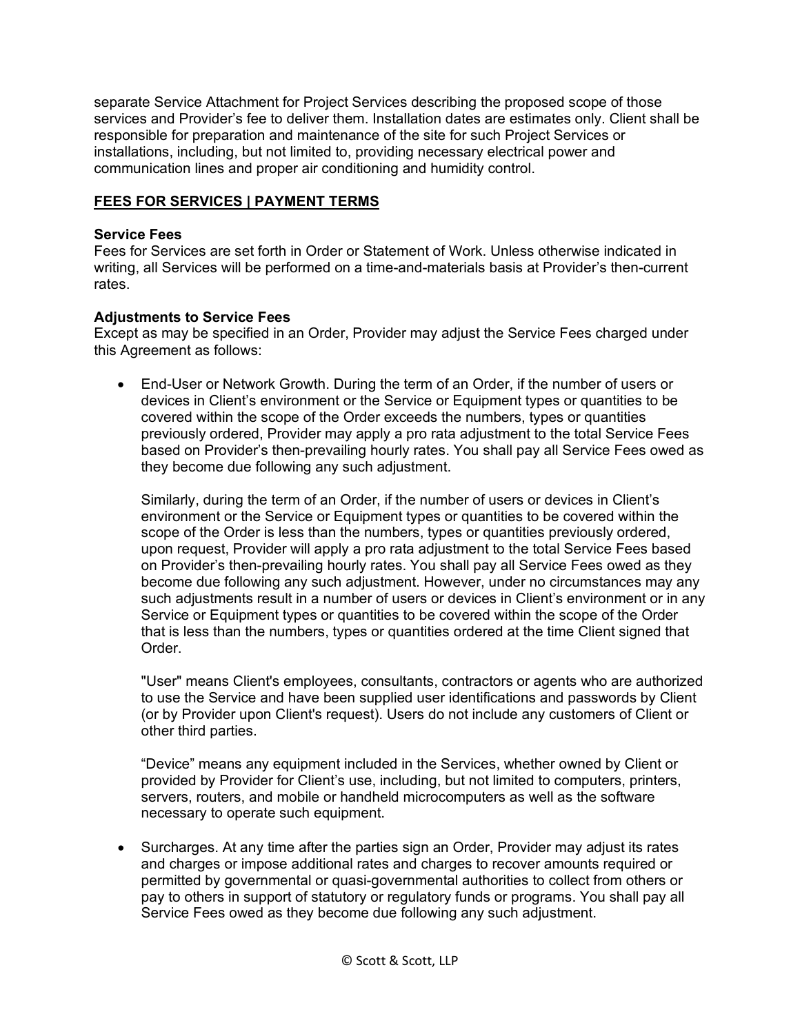separate Service Attachment for Project Services describing the proposed scope of those services and Provider's fee to deliver them. Installation dates are estimates only. Client shall be responsible for preparation and maintenance of the site for such Project Services or installations, including, but not limited to, providing necessary electrical power and communication lines and proper air conditioning and humidity control.

#### **FEES FOR SERVICES | PAYMENT TERMS**

#### **Service Fees**

Fees for Services are set forth in Order or Statement of Work. Unless otherwise indicated in writing, all Services will be performed on a time-and-materials basis at Provider's then-current rates.

#### **Adjustments to Service Fees**

Except as may be specified in an Order, Provider may adjust the Service Fees charged under this Agreement as follows:

• End-User or Network Growth. During the term of an Order, if the number of users or devices in Client's environment or the Service or Equipment types or quantities to be covered within the scope of the Order exceeds the numbers, types or quantities previously ordered, Provider may apply a pro rata adjustment to the total Service Fees based on Provider's then-prevailing hourly rates. You shall pay all Service Fees owed as they become due following any such adjustment.

Similarly, during the term of an Order, if the number of users or devices in Client's environment or the Service or Equipment types or quantities to be covered within the scope of the Order is less than the numbers, types or quantities previously ordered, upon request, Provider will apply a pro rata adjustment to the total Service Fees based on Provider's then-prevailing hourly rates. You shall pay all Service Fees owed as they become due following any such adjustment. However, under no circumstances may any such adjustments result in a number of users or devices in Client's environment or in any Service or Equipment types or quantities to be covered within the scope of the Order that is less than the numbers, types or quantities ordered at the time Client signed that Order.

"User" means Client's employees, consultants, contractors or agents who are authorized to use the Service and have been supplied user identifications and passwords by Client (or by Provider upon Client's request). Users do not include any customers of Client or other third parties.

"Device" means any equipment included in the Services, whether owned by Client or provided by Provider for Client's use, including, but not limited to computers, printers, servers, routers, and mobile or handheld microcomputers as well as the software necessary to operate such equipment.

• Surcharges. At any time after the parties sign an Order, Provider may adjust its rates and charges or impose additional rates and charges to recover amounts required or permitted by governmental or quasi-governmental authorities to collect from others or pay to others in support of statutory or regulatory funds or programs. You shall pay all Service Fees owed as they become due following any such adjustment.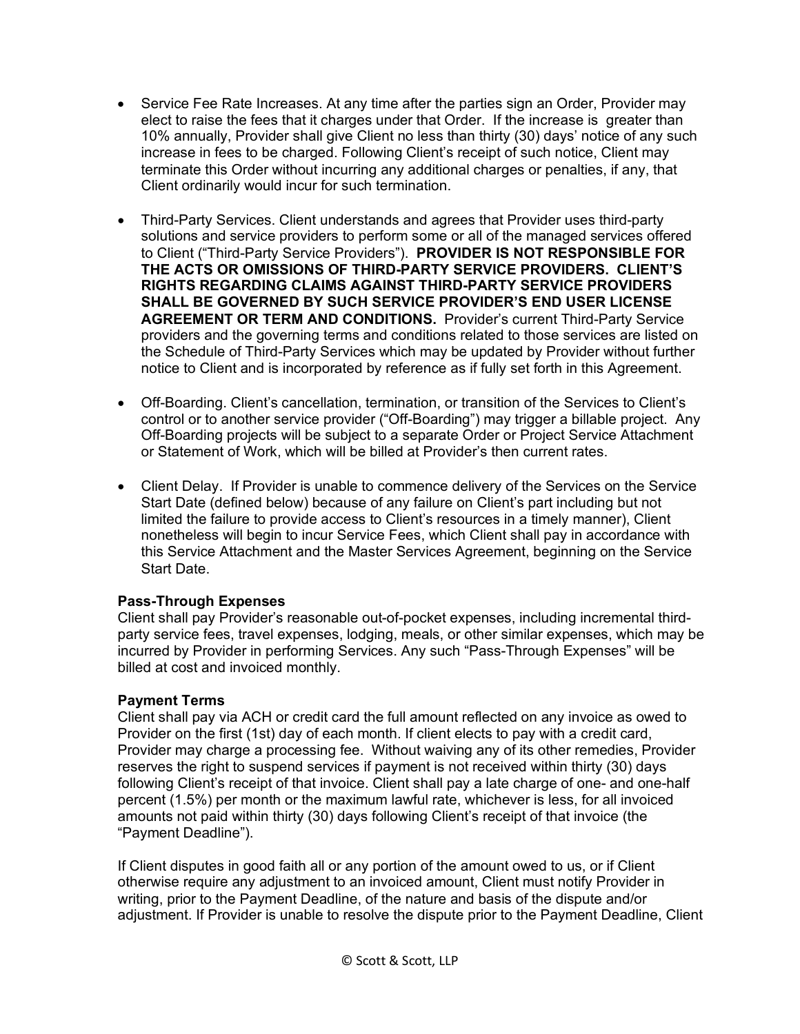- Service Fee Rate Increases. At any time after the parties sign an Order, Provider may elect to raise the fees that it charges under that Order. If the increase is greater than 10% annually, Provider shall give Client no less than thirty (30) days' notice of any such increase in fees to be charged. Following Client's receipt of such notice, Client may terminate this Order without incurring any additional charges or penalties, if any, that Client ordinarily would incur for such termination.
- Third-Party Services. Client understands and agrees that Provider uses third-party solutions and service providers to perform some or all of the managed services offered to Client ("Third-Party Service Providers"). **PROVIDER IS NOT RESPONSIBLE FOR THE ACTS OR OMISSIONS OF THIRD-PARTY SERVICE PROVIDERS. CLIENT'S RIGHTS REGARDING CLAIMS AGAINST THIRD-PARTY SERVICE PROVIDERS SHALL BE GOVERNED BY SUCH SERVICE PROVIDER'S END USER LICENSE AGREEMENT OR TERM AND CONDITIONS.** Provider's current Third-Party Service providers and the governing terms and conditions related to those services are listed on the Schedule of Third-Party Services which may be updated by Provider without further notice to Client and is incorporated by reference as if fully set forth in this Agreement.
- Off-Boarding. Client's cancellation, termination, or transition of the Services to Client's control or to another service provider ("Off-Boarding") may trigger a billable project. Any Off-Boarding projects will be subject to a separate Order or Project Service Attachment or Statement of Work, which will be billed at Provider's then current rates.
- Client Delay. If Provider is unable to commence delivery of the Services on the Service Start Date (defined below) because of any failure on Client's part including but not limited the failure to provide access to Client's resources in a timely manner), Client nonetheless will begin to incur Service Fees, which Client shall pay in accordance with this Service Attachment and the Master Services Agreement, beginning on the Service Start Date.

# **Pass-Through Expenses**

Client shall pay Provider's reasonable out-of-pocket expenses, including incremental thirdparty service fees, travel expenses, lodging, meals, or other similar expenses, which may be incurred by Provider in performing Services. Any such "Pass-Through Expenses" will be billed at cost and invoiced monthly.

# **Payment Terms**

Client shall pay via ACH or credit card the full amount reflected on any invoice as owed to Provider on the first (1st) day of each month. If client elects to pay with a credit card, Provider may charge a processing fee. Without waiving any of its other remedies, Provider reserves the right to suspend services if payment is not received within thirty (30) days following Client's receipt of that invoice. Client shall pay a late charge of one- and one-half percent (1.5%) per month or the maximum lawful rate, whichever is less, for all invoiced amounts not paid within thirty (30) days following Client's receipt of that invoice (the "Payment Deadline").

If Client disputes in good faith all or any portion of the amount owed to us, or if Client otherwise require any adjustment to an invoiced amount, Client must notify Provider in writing, prior to the Payment Deadline, of the nature and basis of the dispute and/or adjustment. If Provider is unable to resolve the dispute prior to the Payment Deadline, Client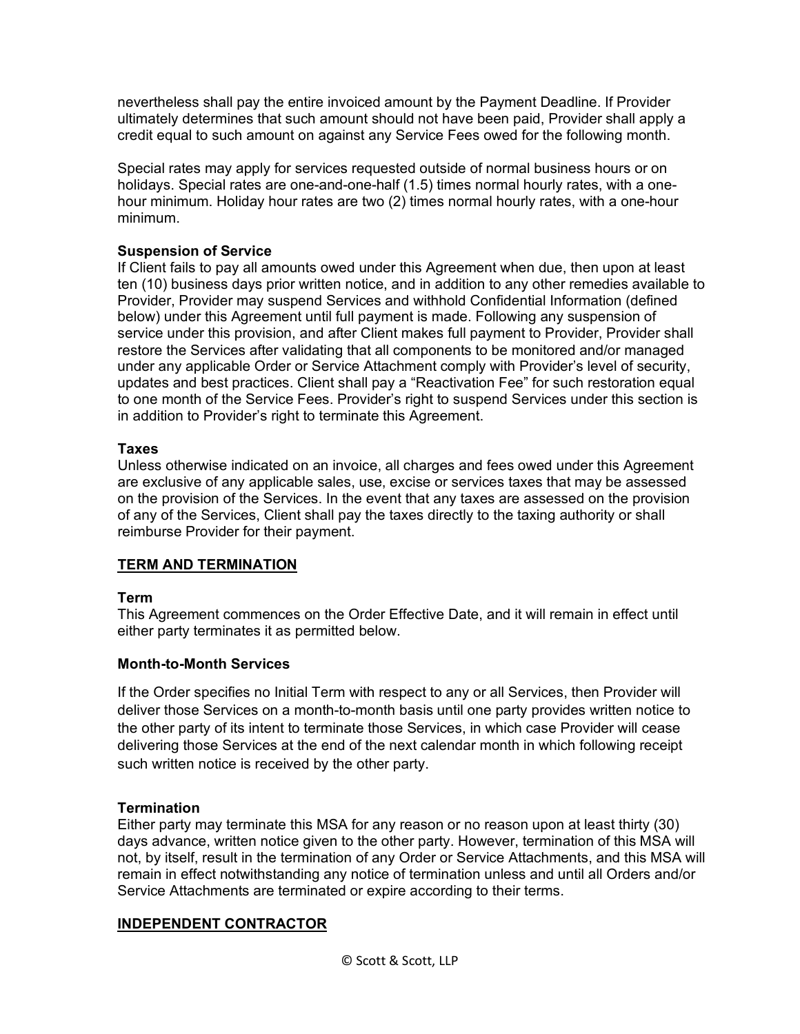nevertheless shall pay the entire invoiced amount by the Payment Deadline. If Provider ultimately determines that such amount should not have been paid, Provider shall apply a credit equal to such amount on against any Service Fees owed for the following month.

Special rates may apply for services requested outside of normal business hours or on holidays. Special rates are one-and-one-half (1.5) times normal hourly rates, with a onehour minimum. Holiday hour rates are two (2) times normal hourly rates, with a one-hour minimum.

# **Suspension of Service**

If Client fails to pay all amounts owed under this Agreement when due, then upon at least ten (10) business days prior written notice, and in addition to any other remedies available to Provider, Provider may suspend Services and withhold Confidential Information (defined below) under this Agreement until full payment is made. Following any suspension of service under this provision, and after Client makes full payment to Provider, Provider shall restore the Services after validating that all components to be monitored and/or managed under any applicable Order or Service Attachment comply with Provider's level of security, updates and best practices. Client shall pay a "Reactivation Fee" for such restoration equal to one month of the Service Fees. Provider's right to suspend Services under this section is in addition to Provider's right to terminate this Agreement.

# **Taxes**

Unless otherwise indicated on an invoice, all charges and fees owed under this Agreement are exclusive of any applicable sales, use, excise or services taxes that may be assessed on the provision of the Services. In the event that any taxes are assessed on the provision of any of the Services, Client shall pay the taxes directly to the taxing authority or shall reimburse Provider for their payment.

## **TERM AND TERMINATION**

## **Term**

This Agreement commences on the Order Effective Date, and it will remain in effect until either party terminates it as permitted below.

## **Month-to-Month Services**

If the Order specifies no Initial Term with respect to any or all Services, then Provider will deliver those Services on a month-to-month basis until one party provides written notice to the other party of its intent to terminate those Services, in which case Provider will cease delivering those Services at the end of the next calendar month in which following receipt such written notice is received by the other party.

## **Termination**

Either party may terminate this MSA for any reason or no reason upon at least thirty (30) days advance, written notice given to the other party. However, termination of this MSA will not, by itself, result in the termination of any Order or Service Attachments, and this MSA will remain in effect notwithstanding any notice of termination unless and until all Orders and/or Service Attachments are terminated or expire according to their terms.

## **INDEPENDENT CONTRACTOR**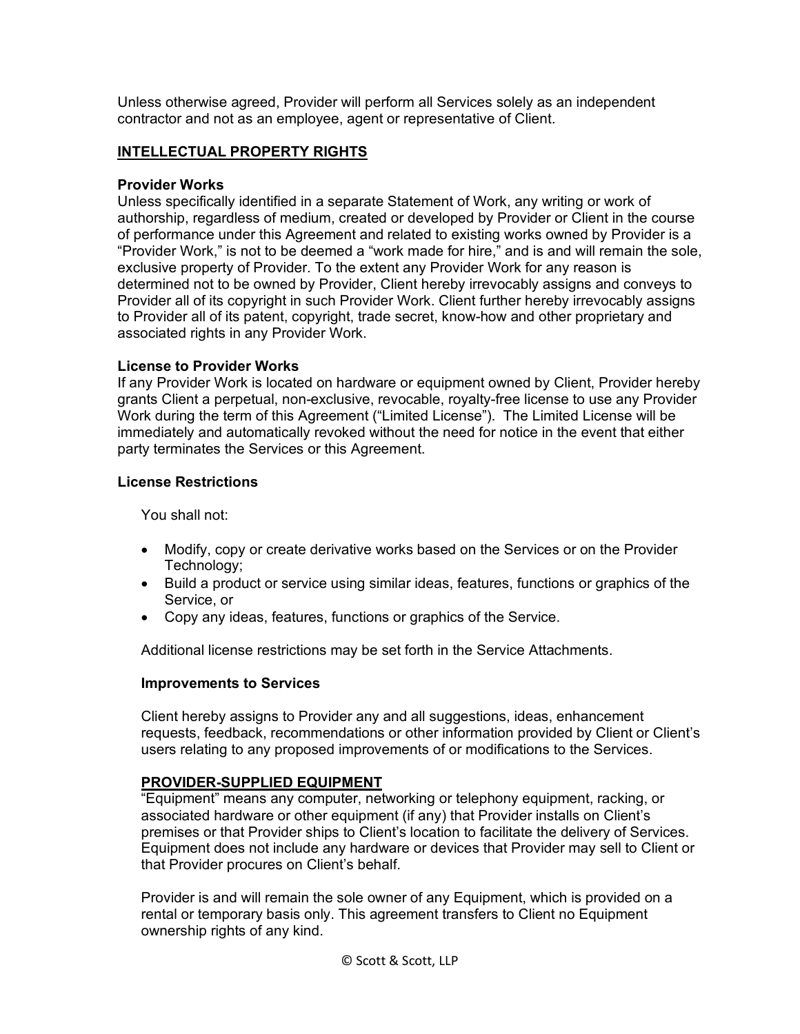Unless otherwise agreed, Provider will perform all Services solely as an independent contractor and not as an employee, agent or representative of Client.

## **INTELLECTUAL PROPERTY RIGHTS**

#### **Provider Works**

Unless specifically identified in a separate Statement of Work, any writing or work of authorship, regardless of medium, created or developed by Provider or Client in the course of performance under this Agreement and related to existing works owned by Provider is a "Provider Work," is not to be deemed a "work made for hire," and is and will remain the sole, exclusive property of Provider. To the extent any Provider Work for any reason is determined not to be owned by Provider, Client hereby irrevocably assigns and conveys to Provider all of its copyright in such Provider Work. Client further hereby irrevocably assigns to Provider all of its patent, copyright, trade secret, know-how and other proprietary and associated rights in any Provider Work.

#### **License to Provider Works**

If any Provider Work is located on hardware or equipment owned by Client, Provider hereby grants Client a perpetual, non-exclusive, revocable, royalty-free license to use any Provider Work during the term of this Agreement ("Limited License"). The Limited License will be immediately and automatically revoked without the need for notice in the event that either party terminates the Services or this Agreement.

#### **License Restrictions**

You shall not:

- Modify, copy or create derivative works based on the Services or on the Provider Technology;
- Build a product or service using similar ideas, features, functions or graphics of the Service, or
- Copy any ideas, features, functions or graphics of the Service.

Additional license restrictions may be set forth in the Service Attachments.

## **Improvements to Services**

Client hereby assigns to Provider any and all suggestions, ideas, enhancement requests, feedback, recommendations or other information provided by Client or Client's users relating to any proposed improvements of or modifications to the Services.

## **PROVIDER-SUPPLIED EQUIPMENT**

"Equipment" means any computer, networking or telephony equipment, racking, or associated hardware or other equipment (if any) that Provider installs on Client's premises or that Provider ships to Client's location to facilitate the delivery of Services. Equipment does not include any hardware or devices that Provider may sell to Client or that Provider procures on Client's behalf.

Provider is and will remain the sole owner of any Equipment, which is provided on a rental or temporary basis only. This agreement transfers to Client no Equipment ownership rights of any kind.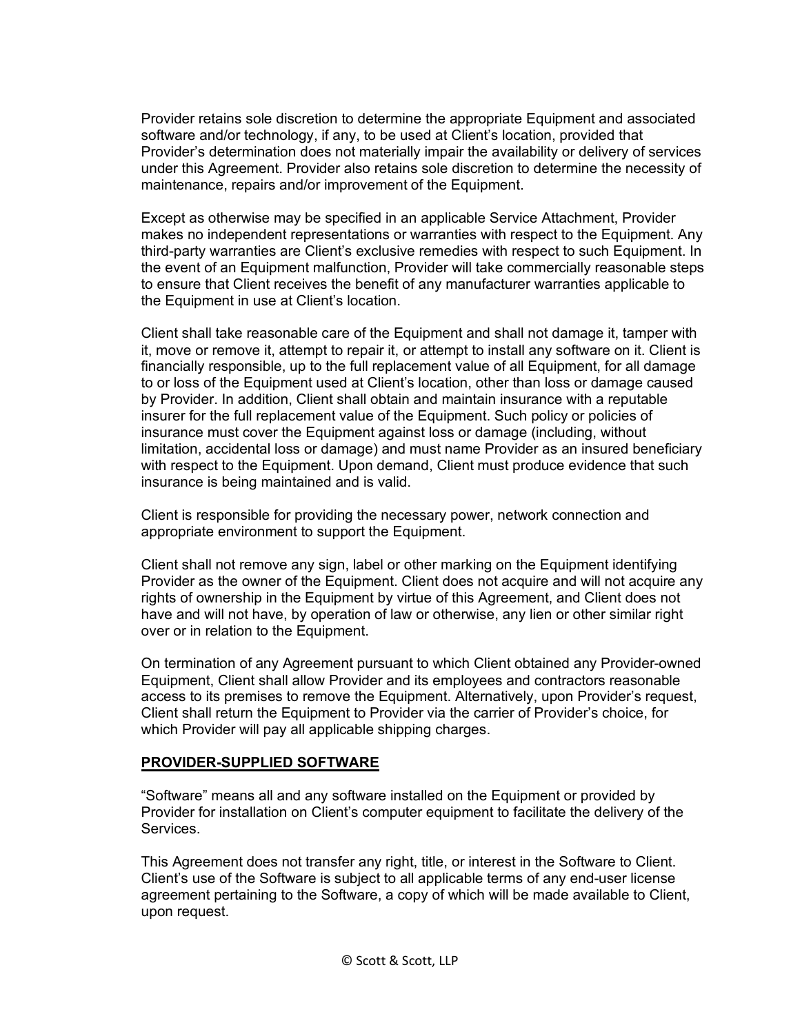Provider retains sole discretion to determine the appropriate Equipment and associated software and/or technology, if any, to be used at Client's location, provided that Provider's determination does not materially impair the availability or delivery of services under this Agreement. Provider also retains sole discretion to determine the necessity of maintenance, repairs and/or improvement of the Equipment.

Except as otherwise may be specified in an applicable Service Attachment, Provider makes no independent representations or warranties with respect to the Equipment. Any third-party warranties are Client's exclusive remedies with respect to such Equipment. In the event of an Equipment malfunction, Provider will take commercially reasonable steps to ensure that Client receives the benefit of any manufacturer warranties applicable to the Equipment in use at Client's location.

Client shall take reasonable care of the Equipment and shall not damage it, tamper with it, move or remove it, attempt to repair it, or attempt to install any software on it. Client is financially responsible, up to the full replacement value of all Equipment, for all damage to or loss of the Equipment used at Client's location, other than loss or damage caused by Provider. In addition, Client shall obtain and maintain insurance with a reputable insurer for the full replacement value of the Equipment. Such policy or policies of insurance must cover the Equipment against loss or damage (including, without limitation, accidental loss or damage) and must name Provider as an insured beneficiary with respect to the Equipment. Upon demand, Client must produce evidence that such insurance is being maintained and is valid.

Client is responsible for providing the necessary power, network connection and appropriate environment to support the Equipment.

Client shall not remove any sign, label or other marking on the Equipment identifying Provider as the owner of the Equipment. Client does not acquire and will not acquire any rights of ownership in the Equipment by virtue of this Agreement, and Client does not have and will not have, by operation of law or otherwise, any lien or other similar right over or in relation to the Equipment.

On termination of any Agreement pursuant to which Client obtained any Provider-owned Equipment, Client shall allow Provider and its employees and contractors reasonable access to its premises to remove the Equipment. Alternatively, upon Provider's request, Client shall return the Equipment to Provider via the carrier of Provider's choice, for which Provider will pay all applicable shipping charges.

## **PROVIDER-SUPPLIED SOFTWARE**

"Software" means all and any software installed on the Equipment or provided by Provider for installation on Client's computer equipment to facilitate the delivery of the Services.

This Agreement does not transfer any right, title, or interest in the Software to Client. Client's use of the Software is subject to all applicable terms of any end-user license agreement pertaining to the Software, a copy of which will be made available to Client, upon request.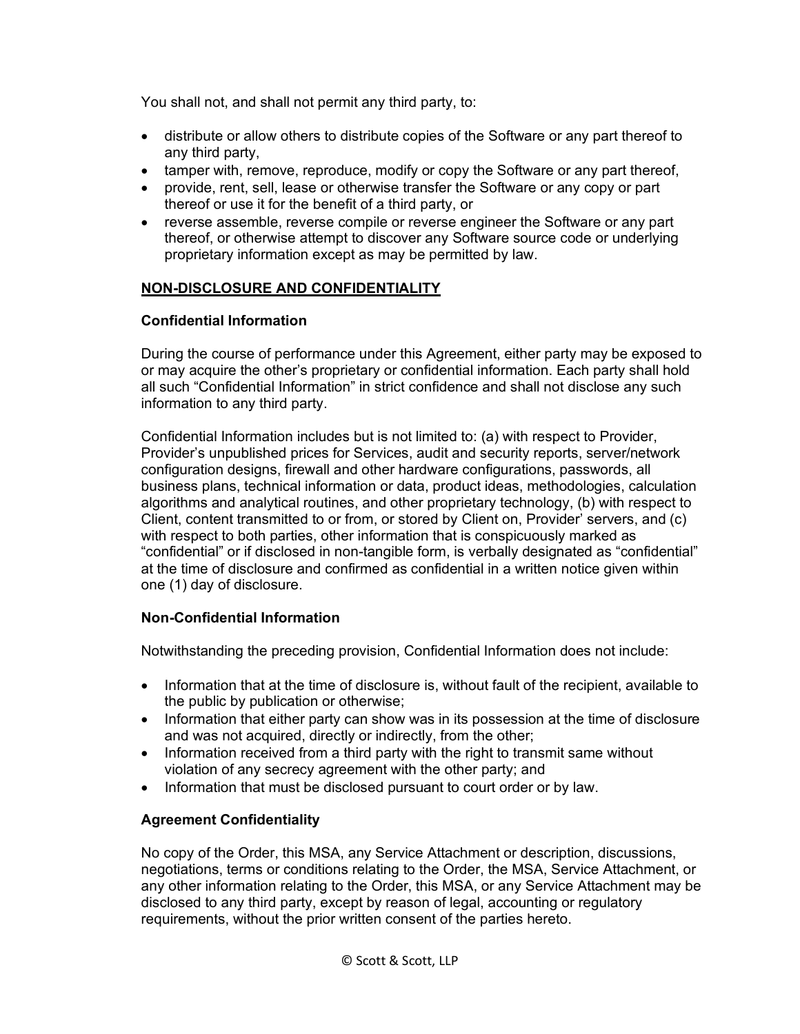You shall not, and shall not permit any third party, to:

- distribute or allow others to distribute copies of the Software or any part thereof to any third party,
- tamper with, remove, reproduce, modify or copy the Software or any part thereof,
- provide, rent, sell, lease or otherwise transfer the Software or any copy or part thereof or use it for the benefit of a third party, or
- reverse assemble, reverse compile or reverse engineer the Software or any part thereof, or otherwise attempt to discover any Software source code or underlying proprietary information except as may be permitted by law.

# **NON-DISCLOSURE AND CONFIDENTIALITY**

# **Confidential Information**

During the course of performance under this Agreement, either party may be exposed to or may acquire the other's proprietary or confidential information. Each party shall hold all such "Confidential Information" in strict confidence and shall not disclose any such information to any third party.

Confidential Information includes but is not limited to: (a) with respect to Provider, Provider's unpublished prices for Services, audit and security reports, server/network configuration designs, firewall and other hardware configurations, passwords, all business plans, technical information or data, product ideas, methodologies, calculation algorithms and analytical routines, and other proprietary technology, (b) with respect to Client, content transmitted to or from, or stored by Client on, Provider' servers, and (c) with respect to both parties, other information that is conspicuously marked as "confidential" or if disclosed in non-tangible form, is verbally designated as "confidential" at the time of disclosure and confirmed as confidential in a written notice given within one (1) day of disclosure.

# **Non-Confidential Information**

Notwithstanding the preceding provision, Confidential Information does not include:

- Information that at the time of disclosure is, without fault of the recipient, available to the public by publication or otherwise;
- Information that either party can show was in its possession at the time of disclosure and was not acquired, directly or indirectly, from the other;
- Information received from a third party with the right to transmit same without violation of any secrecy agreement with the other party; and
- Information that must be disclosed pursuant to court order or by law.

# **Agreement Confidentiality**

No copy of the Order, this MSA, any Service Attachment or description, discussions, negotiations, terms or conditions relating to the Order, the MSA, Service Attachment, or any other information relating to the Order, this MSA, or any Service Attachment may be disclosed to any third party, except by reason of legal, accounting or regulatory requirements, without the prior written consent of the parties hereto.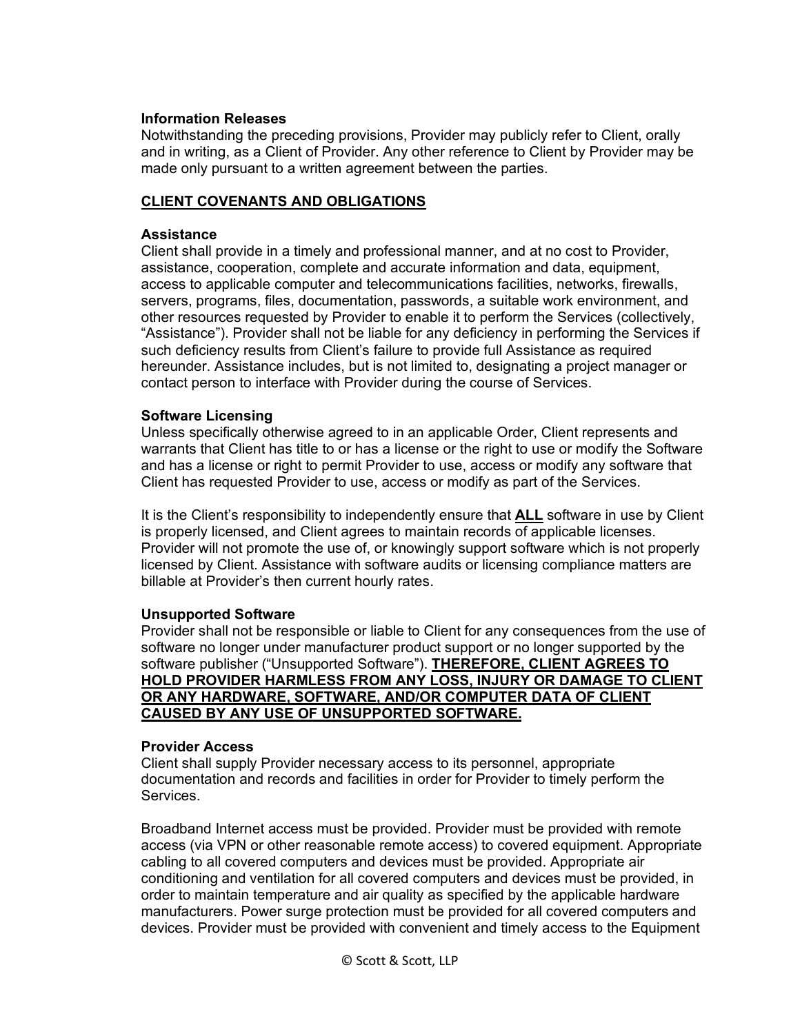#### **Information Releases**

Notwithstanding the preceding provisions, Provider may publicly refer to Client, orally and in writing, as a Client of Provider. Any other reference to Client by Provider may be made only pursuant to a written agreement between the parties.

## **CLIENT COVENANTS AND OBLIGATIONS**

#### **Assistance**

Client shall provide in a timely and professional manner, and at no cost to Provider, assistance, cooperation, complete and accurate information and data, equipment, access to applicable computer and telecommunications facilities, networks, firewalls, servers, programs, files, documentation, passwords, a suitable work environment, and other resources requested by Provider to enable it to perform the Services (collectively, "Assistance"). Provider shall not be liable for any deficiency in performing the Services if such deficiency results from Client's failure to provide full Assistance as required hereunder. Assistance includes, but is not limited to, designating a project manager or contact person to interface with Provider during the course of Services.

#### **Software Licensing**

Unless specifically otherwise agreed to in an applicable Order, Client represents and warrants that Client has title to or has a license or the right to use or modify the Software and has a license or right to permit Provider to use, access or modify any software that Client has requested Provider to use, access or modify as part of the Services.

It is the Client's responsibility to independently ensure that **ALL** software in use by Client is properly licensed, and Client agrees to maintain records of applicable licenses. Provider will not promote the use of, or knowingly support software which is not properly licensed by Client. Assistance with software audits or licensing compliance matters are billable at Provider's then current hourly rates.

## **Unsupported Software**

Provider shall not be responsible or liable to Client for any consequences from the use of software no longer under manufacturer product support or no longer supported by the software publisher ("Unsupported Software"). **THEREFORE, CLIENT AGREES TO HOLD PROVIDER HARMLESS FROM ANY LOSS, INJURY OR DAMAGE TO CLIENT OR ANY HARDWARE, SOFTWARE, AND/OR COMPUTER DATA OF CLIENT CAUSED BY ANY USE OF UNSUPPORTED SOFTWARE.**

#### **Provider Access**

Client shall supply Provider necessary access to its personnel, appropriate documentation and records and facilities in order for Provider to timely perform the Services.

Broadband Internet access must be provided. Provider must be provided with remote access (via VPN or other reasonable remote access) to covered equipment. Appropriate cabling to all covered computers and devices must be provided. Appropriate air conditioning and ventilation for all covered computers and devices must be provided, in order to maintain temperature and air quality as specified by the applicable hardware manufacturers. Power surge protection must be provided for all covered computers and devices. Provider must be provided with convenient and timely access to the Equipment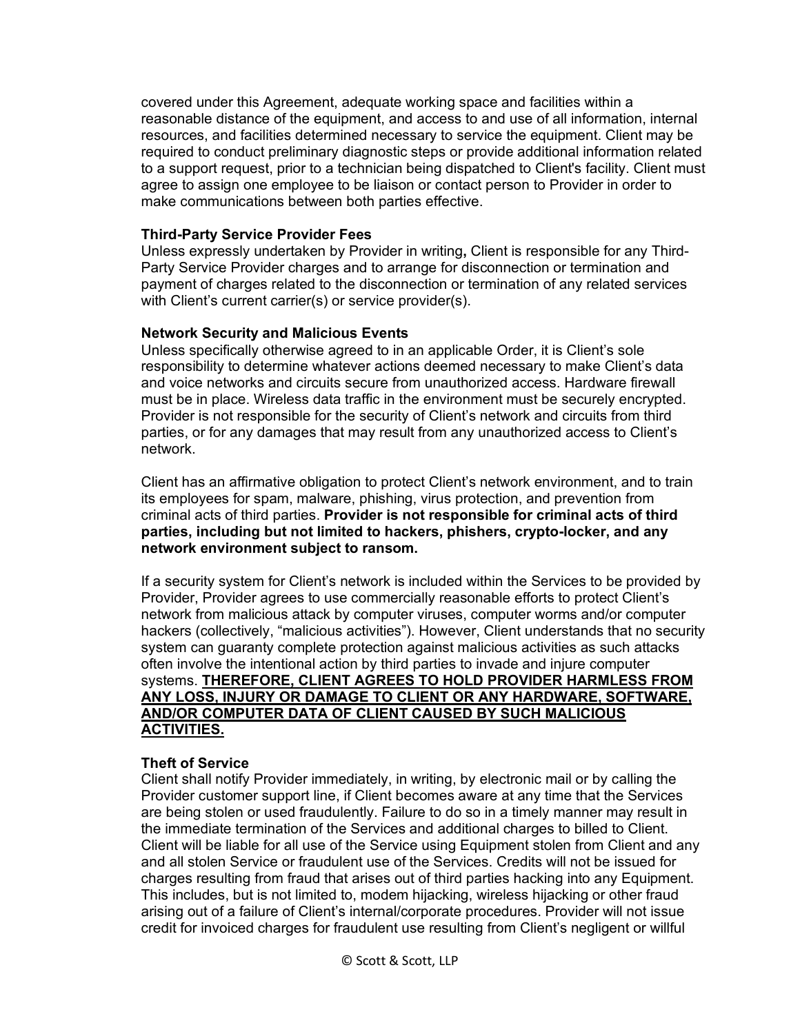covered under this Agreement, adequate working space and facilities within a reasonable distance of the equipment, and access to and use of all information, internal resources, and facilities determined necessary to service the equipment. Client may be required to conduct preliminary diagnostic steps or provide additional information related to a support request, prior to a technician being dispatched to Client's facility. Client must agree to assign one employee to be liaison or contact person to Provider in order to make communications between both parties effective.

#### **Third-Party Service Provider Fees**

Unless expressly undertaken by Provider in writing**,** Client is responsible for any Third-Party Service Provider charges and to arrange for disconnection or termination and payment of charges related to the disconnection or termination of any related services with Client's current carrier(s) or service provider(s).

#### **Network Security and Malicious Events**

Unless specifically otherwise agreed to in an applicable Order, it is Client's sole responsibility to determine whatever actions deemed necessary to make Client's data and voice networks and circuits secure from unauthorized access. Hardware firewall must be in place. Wireless data traffic in the environment must be securely encrypted. Provider is not responsible for the security of Client's network and circuits from third parties, or for any damages that may result from any unauthorized access to Client's network.

Client has an affirmative obligation to protect Client's network environment, and to train its employees for spam, malware, phishing, virus protection, and prevention from criminal acts of third parties. **Provider is not responsible for criminal acts of third parties, including but not limited to hackers, phishers, crypto-locker, and any network environment subject to ransom.** 

If a security system for Client's network is included within the Services to be provided by Provider, Provider agrees to use commercially reasonable efforts to protect Client's network from malicious attack by computer viruses, computer worms and/or computer hackers (collectively, "malicious activities"). However, Client understands that no security system can guaranty complete protection against malicious activities as such attacks often involve the intentional action by third parties to invade and injure computer systems. **THEREFORE, CLIENT AGREES TO HOLD PROVIDER HARMLESS FROM ANY LOSS, INJURY OR DAMAGE TO CLIENT OR ANY HARDWARE, SOFTWARE, AND/OR COMPUTER DATA OF CLIENT CAUSED BY SUCH MALICIOUS ACTIVITIES.** 

## **Theft of Service**

Client shall notify Provider immediately, in writing, by electronic mail or by calling the Provider customer support line, if Client becomes aware at any time that the Services are being stolen or used fraudulently. Failure to do so in a timely manner may result in the immediate termination of the Services and additional charges to billed to Client. Client will be liable for all use of the Service using Equipment stolen from Client and any and all stolen Service or fraudulent use of the Services. Credits will not be issued for charges resulting from fraud that arises out of third parties hacking into any Equipment. This includes, but is not limited to, modem hijacking, wireless hijacking or other fraud arising out of a failure of Client's internal/corporate procedures. Provider will not issue credit for invoiced charges for fraudulent use resulting from Client's negligent or willful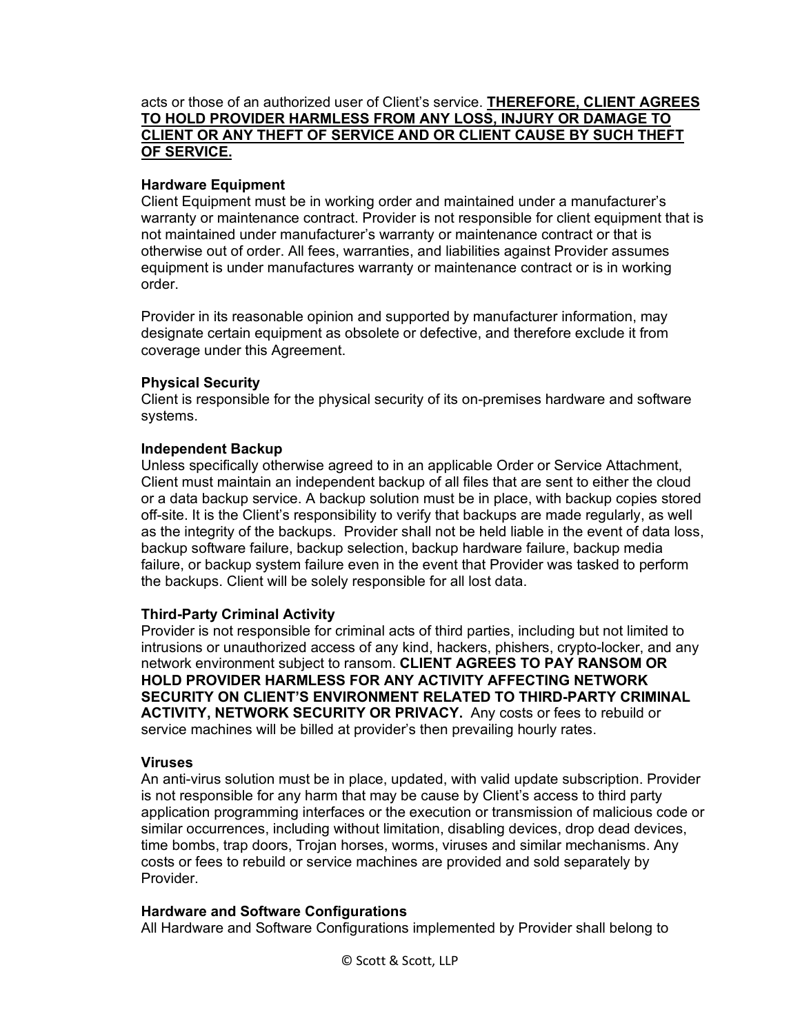## acts or those of an authorized user of Client's service. **THEREFORE, CLIENT AGREES TO HOLD PROVIDER HARMLESS FROM ANY LOSS, INJURY OR DAMAGE TO CLIENT OR ANY THEFT OF SERVICE AND OR CLIENT CAUSE BY SUCH THEFT OF SERVICE.**

# **Hardware Equipment**

Client Equipment must be in working order and maintained under a manufacturer's warranty or maintenance contract. Provider is not responsible for client equipment that is not maintained under manufacturer's warranty or maintenance contract or that is otherwise out of order. All fees, warranties, and liabilities against Provider assumes equipment is under manufactures warranty or maintenance contract or is in working order.

Provider in its reasonable opinion and supported by manufacturer information, may designate certain equipment as obsolete or defective, and therefore exclude it from coverage under this Agreement.

## **Physical Security**

Client is responsible for the physical security of its on-premises hardware and software systems.

## **Independent Backup**

Unless specifically otherwise agreed to in an applicable Order or Service Attachment, Client must maintain an independent backup of all files that are sent to either the cloud or a data backup service. A backup solution must be in place, with backup copies stored off-site. It is the Client's responsibility to verify that backups are made regularly, as well as the integrity of the backups. Provider shall not be held liable in the event of data loss, backup software failure, backup selection, backup hardware failure, backup media failure, or backup system failure even in the event that Provider was tasked to perform the backups. Client will be solely responsible for all lost data.

## **Third-Party Criminal Activity**

Provider is not responsible for criminal acts of third parties, including but not limited to intrusions or unauthorized access of any kind, hackers, phishers, crypto-locker, and any network environment subject to ransom. **CLIENT AGREES TO PAY RANSOM OR HOLD PROVIDER HARMLESS FOR ANY ACTIVITY AFFECTING NETWORK SECURITY ON CLIENT'S ENVIRONMENT RELATED TO THIRD-PARTY CRIMINAL ACTIVITY, NETWORK SECURITY OR PRIVACY.** Any costs or fees to rebuild or service machines will be billed at provider's then prevailing hourly rates.

## **Viruses**

An anti-virus solution must be in place, updated, with valid update subscription. Provider is not responsible for any harm that may be cause by Client's access to third party application programming interfaces or the execution or transmission of malicious code or similar occurrences, including without limitation, disabling devices, drop dead devices, time bombs, trap doors, Trojan horses, worms, viruses and similar mechanisms. Any costs or fees to rebuild or service machines are provided and sold separately by Provider.

## **Hardware and Software Configurations**

All Hardware and Software Configurations implemented by Provider shall belong to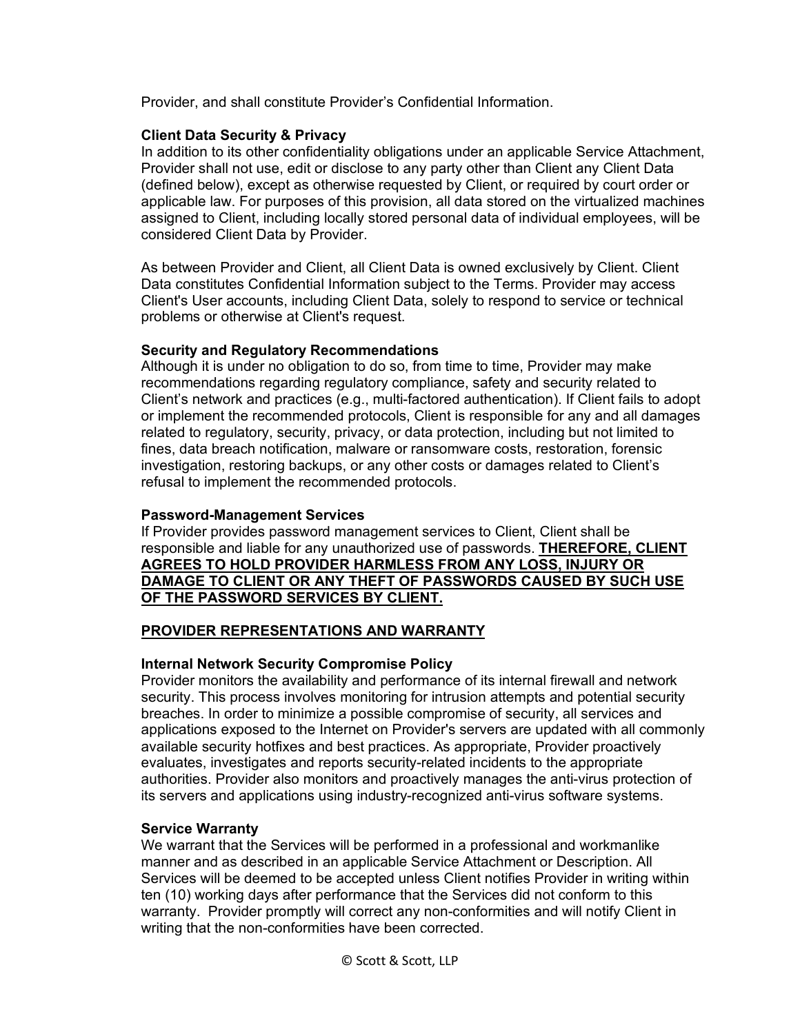Provider, and shall constitute Provider's Confidential Information.

## **Client Data Security & Privacy**

In addition to its other confidentiality obligations under an applicable Service Attachment, Provider shall not use, edit or disclose to any party other than Client any Client Data (defined below), except as otherwise requested by Client, or required by court order or applicable law. For purposes of this provision, all data stored on the virtualized machines assigned to Client, including locally stored personal data of individual employees, will be considered Client Data by Provider.

As between Provider and Client, all Client Data is owned exclusively by Client. Client Data constitutes Confidential Information subject to the Terms. Provider may access Client's User accounts, including Client Data, solely to respond to service or technical problems or otherwise at Client's request.

# **Security and Regulatory Recommendations**

Although it is under no obligation to do so, from time to time, Provider may make recommendations regarding regulatory compliance, safety and security related to Client's network and practices (e.g., multi-factored authentication). If Client fails to adopt or implement the recommended protocols, Client is responsible for any and all damages related to regulatory, security, privacy, or data protection, including but not limited to fines, data breach notification, malware or ransomware costs, restoration, forensic investigation, restoring backups, or any other costs or damages related to Client's refusal to implement the recommended protocols.

## **Password-Management Services**

If Provider provides password management services to Client, Client shall be responsible and liable for any unauthorized use of passwords. **THEREFORE, CLIENT AGREES TO HOLD PROVIDER HARMLESS FROM ANY LOSS, INJURY OR DAMAGE TO CLIENT OR ANY THEFT OF PASSWORDS CAUSED BY SUCH USE OF THE PASSWORD SERVICES BY CLIENT.**

# **PROVIDER REPRESENTATIONS AND WARRANTY**

# **Internal Network Security Compromise Policy**

Provider monitors the availability and performance of its internal firewall and network security. This process involves monitoring for intrusion attempts and potential security breaches. In order to minimize a possible compromise of security, all services and applications exposed to the Internet on Provider's servers are updated with all commonly available security hotfixes and best practices. As appropriate, Provider proactively evaluates, investigates and reports security-related incidents to the appropriate authorities. Provider also monitors and proactively manages the anti-virus protection of its servers and applications using industry-recognized anti-virus software systems.

# **Service Warranty**

We warrant that the Services will be performed in a professional and workmanlike manner and as described in an applicable Service Attachment or Description. All Services will be deemed to be accepted unless Client notifies Provider in writing within ten (10) working days after performance that the Services did not conform to this warranty. Provider promptly will correct any non-conformities and will notify Client in writing that the non-conformities have been corrected.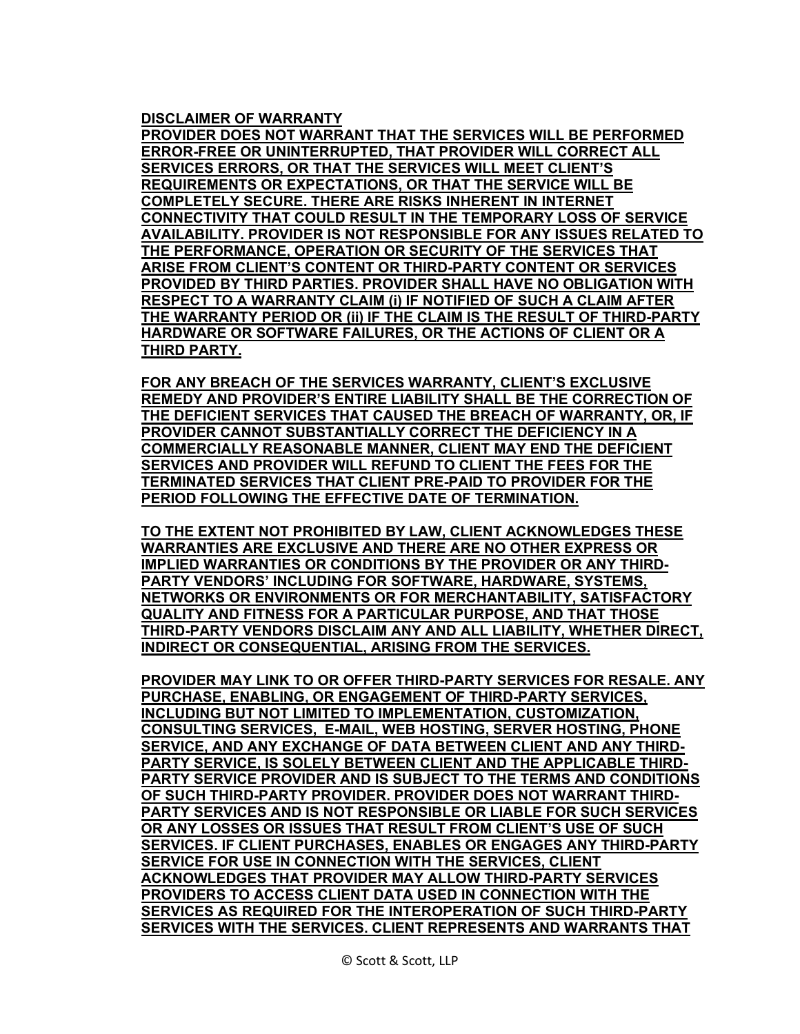## **DISCLAIMER OF WARRANTY**

**PROVIDER DOES NOT WARRANT THAT THE SERVICES WILL BE PERFORMED ERROR-FREE OR UNINTERRUPTED, THAT PROVIDER WILL CORRECT ALL SERVICES ERRORS, OR THAT THE SERVICES WILL MEET CLIENT'S REQUIREMENTS OR EXPECTATIONS, OR THAT THE SERVICE WILL BE COMPLETELY SECURE. THERE ARE RISKS INHERENT IN INTERNET CONNECTIVITY THAT COULD RESULT IN THE TEMPORARY LOSS OF SERVICE AVAILABILITY. PROVIDER IS NOT RESPONSIBLE FOR ANY ISSUES RELATED TO THE PERFORMANCE, OPERATION OR SECURITY OF THE SERVICES THAT ARISE FROM CLIENT'S CONTENT OR THIRD-PARTY CONTENT OR SERVICES PROVIDED BY THIRD PARTIES. PROVIDER SHALL HAVE NO OBLIGATION WITH RESPECT TO A WARRANTY CLAIM (i) IF NOTIFIED OF SUCH A CLAIM AFTER THE WARRANTY PERIOD OR (ii) IF THE CLAIM IS THE RESULT OF THIRD-PARTY HARDWARE OR SOFTWARE FAILURES, OR THE ACTIONS OF CLIENT OR A THIRD PARTY.**

**FOR ANY BREACH OF THE SERVICES WARRANTY, CLIENT'S EXCLUSIVE REMEDY AND PROVIDER'S ENTIRE LIABILITY SHALL BE THE CORRECTION OF THE DEFICIENT SERVICES THAT CAUSED THE BREACH OF WARRANTY, OR, IF PROVIDER CANNOT SUBSTANTIALLY CORRECT THE DEFICIENCY IN A COMMERCIALLY REASONABLE MANNER, CLIENT MAY END THE DEFICIENT SERVICES AND PROVIDER WILL REFUND TO CLIENT THE FEES FOR THE TERMINATED SERVICES THAT CLIENT PRE-PAID TO PROVIDER FOR THE PERIOD FOLLOWING THE EFFECTIVE DATE OF TERMINATION.** 

**TO THE EXTENT NOT PROHIBITED BY LAW, CLIENT ACKNOWLEDGES THESE WARRANTIES ARE EXCLUSIVE AND THERE ARE NO OTHER EXPRESS OR IMPLIED WARRANTIES OR CONDITIONS BY THE PROVIDER OR ANY THIRD-PARTY VENDORS' INCLUDING FOR SOFTWARE, HARDWARE, SYSTEMS, NETWORKS OR ENVIRONMENTS OR FOR MERCHANTABILITY, SATISFACTORY QUALITY AND FITNESS FOR A PARTICULAR PURPOSE, AND THAT THOSE THIRD-PARTY VENDORS DISCLAIM ANY AND ALL LIABILITY, WHETHER DIRECT, INDIRECT OR CONSEQUENTIAL, ARISING FROM THE SERVICES.** 

**PROVIDER MAY LINK TO OR OFFER THIRD-PARTY SERVICES FOR RESALE. ANY PURCHASE, ENABLING, OR ENGAGEMENT OF THIRD-PARTY SERVICES, INCLUDING BUT NOT LIMITED TO IMPLEMENTATION, CUSTOMIZATION, CONSULTING SERVICES, E-MAIL, WEB HOSTING, SERVER HOSTING, PHONE SERVICE, AND ANY EXCHANGE OF DATA BETWEEN CLIENT AND ANY THIRD-PARTY SERVICE, IS SOLELY BETWEEN CLIENT AND THE APPLICABLE THIRD-PARTY SERVICE PROVIDER AND IS SUBJECT TO THE TERMS AND CONDITIONS OF SUCH THIRD-PARTY PROVIDER. PROVIDER DOES NOT WARRANT THIRD-PARTY SERVICES AND IS NOT RESPONSIBLE OR LIABLE FOR SUCH SERVICES OR ANY LOSSES OR ISSUES THAT RESULT FROM CLIENT'S USE OF SUCH SERVICES. IF CLIENT PURCHASES, ENABLES OR ENGAGES ANY THIRD-PARTY SERVICE FOR USE IN CONNECTION WITH THE SERVICES, CLIENT ACKNOWLEDGES THAT PROVIDER MAY ALLOW THIRD-PARTY SERVICES PROVIDERS TO ACCESS CLIENT DATA USED IN CONNECTION WITH THE SERVICES AS REQUIRED FOR THE INTEROPERATION OF SUCH THIRD-PARTY SERVICES WITH THE SERVICES. CLIENT REPRESENTS AND WARRANTS THAT**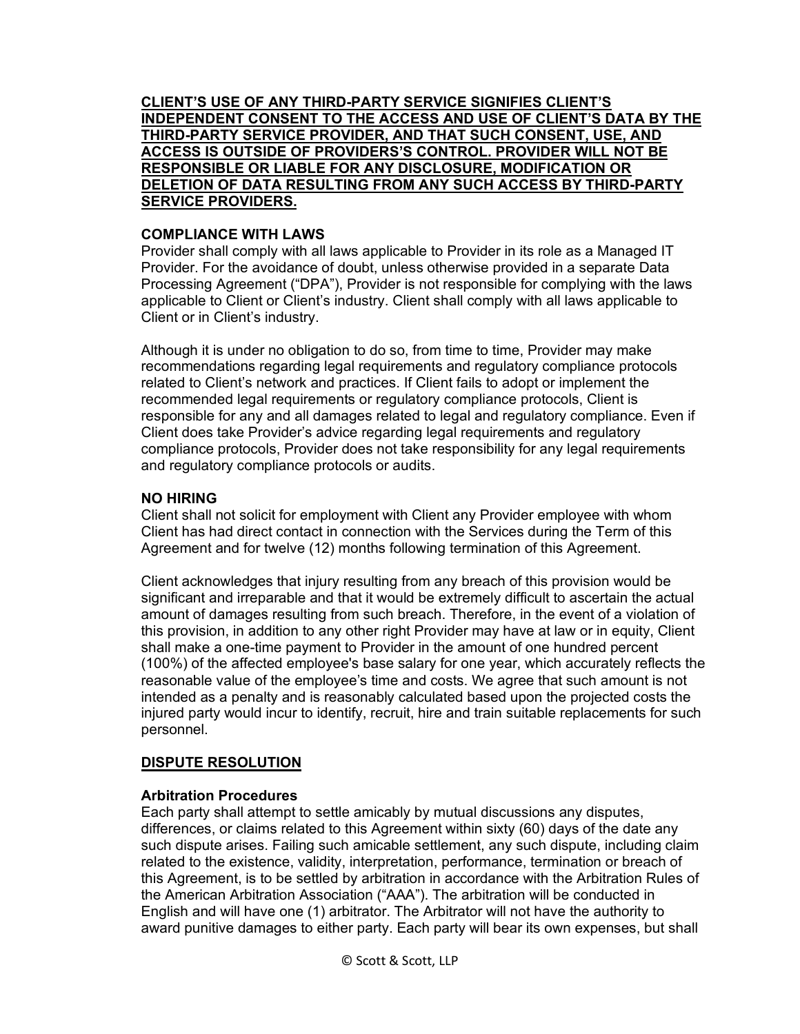**CLIENT'S USE OF ANY THIRD-PARTY SERVICE SIGNIFIES CLIENT'S INDEPENDENT CONSENT TO THE ACCESS AND USE OF CLIENT'S DATA BY THE THIRD-PARTY SERVICE PROVIDER, AND THAT SUCH CONSENT, USE, AND ACCESS IS OUTSIDE OF PROVIDERS'S CONTROL. PROVIDER WILL NOT BE RESPONSIBLE OR LIABLE FOR ANY DISCLOSURE, MODIFICATION OR DELETION OF DATA RESULTING FROM ANY SUCH ACCESS BY THIRD-PARTY SERVICE PROVIDERS.**

## **COMPLIANCE WITH LAWS**

Provider shall comply with all laws applicable to Provider in its role as a Managed IT Provider. For the avoidance of doubt, unless otherwise provided in a separate Data Processing Agreement ("DPA"), Provider is not responsible for complying with the laws applicable to Client or Client's industry. Client shall comply with all laws applicable to Client or in Client's industry.

Although it is under no obligation to do so, from time to time, Provider may make recommendations regarding legal requirements and regulatory compliance protocols related to Client's network and practices. If Client fails to adopt or implement the recommended legal requirements or regulatory compliance protocols, Client is responsible for any and all damages related to legal and regulatory compliance. Even if Client does take Provider's advice regarding legal requirements and regulatory compliance protocols, Provider does not take responsibility for any legal requirements and regulatory compliance protocols or audits.

# **NO HIRING**

Client shall not solicit for employment with Client any Provider employee with whom Client has had direct contact in connection with the Services during the Term of this Agreement and for twelve (12) months following termination of this Agreement.

Client acknowledges that injury resulting from any breach of this provision would be significant and irreparable and that it would be extremely difficult to ascertain the actual amount of damages resulting from such breach. Therefore, in the event of a violation of this provision, in addition to any other right Provider may have at law or in equity, Client shall make a one-time payment to Provider in the amount of one hundred percent (100%) of the affected employee's base salary for one year, which accurately reflects the reasonable value of the employee's time and costs. We agree that such amount is not intended as a penalty and is reasonably calculated based upon the projected costs the injured party would incur to identify, recruit, hire and train suitable replacements for such personnel.

# **DISPUTE RESOLUTION**

# **Arbitration Procedures**

Each party shall attempt to settle amicably by mutual discussions any disputes, differences, or claims related to this Agreement within sixty (60) days of the date any such dispute arises. Failing such amicable settlement, any such dispute, including claim related to the existence, validity, interpretation, performance, termination or breach of this Agreement, is to be settled by arbitration in accordance with the Arbitration Rules of the American Arbitration Association ("AAA"). The arbitration will be conducted in English and will have one (1) arbitrator. The Arbitrator will not have the authority to award punitive damages to either party. Each party will bear its own expenses, but shall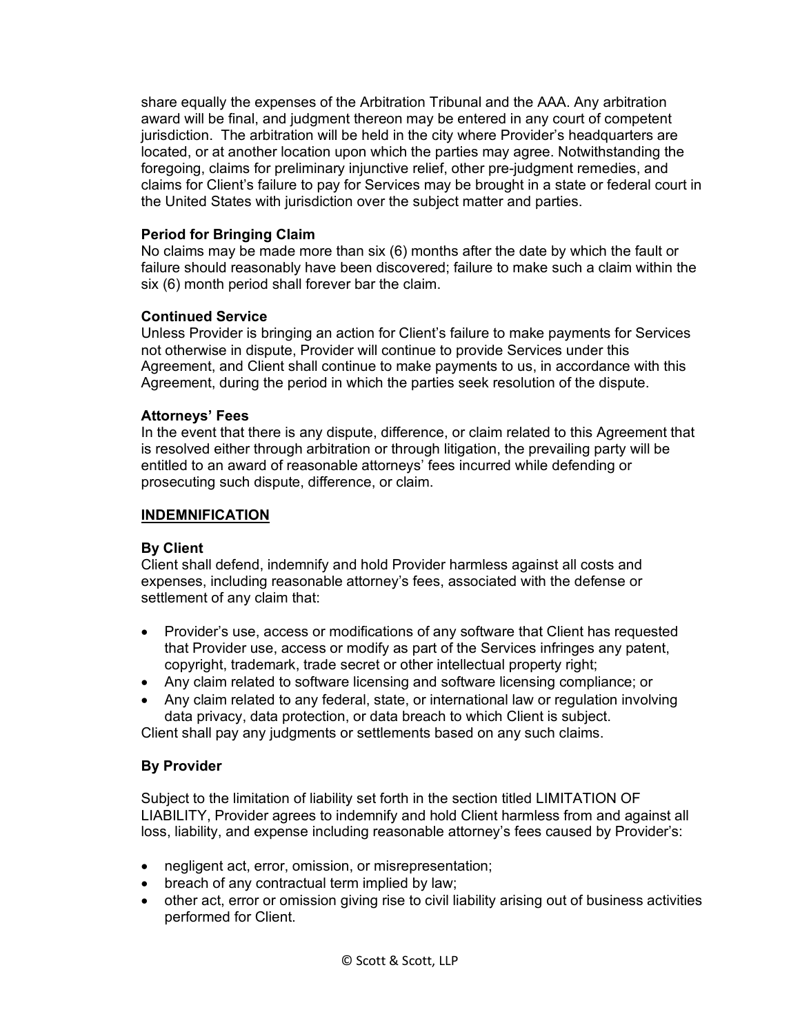share equally the expenses of the Arbitration Tribunal and the AAA. Any arbitration award will be final, and judgment thereon may be entered in any court of competent jurisdiction. The arbitration will be held in the city where Provider's headquarters are located, or at another location upon which the parties may agree. Notwithstanding the foregoing, claims for preliminary injunctive relief, other pre-judgment remedies, and claims for Client's failure to pay for Services may be brought in a state or federal court in the United States with jurisdiction over the subject matter and parties.

## **Period for Bringing Claim**

No claims may be made more than six (6) months after the date by which the fault or failure should reasonably have been discovered; failure to make such a claim within the six (6) month period shall forever bar the claim.

## **Continued Service**

Unless Provider is bringing an action for Client's failure to make payments for Services not otherwise in dispute, Provider will continue to provide Services under this Agreement, and Client shall continue to make payments to us, in accordance with this Agreement, during the period in which the parties seek resolution of the dispute.

## **Attorneys' Fees**

In the event that there is any dispute, difference, or claim related to this Agreement that is resolved either through arbitration or through litigation, the prevailing party will be entitled to an award of reasonable attorneys' fees incurred while defending or prosecuting such dispute, difference, or claim.

## **INDEMNIFICATION**

## **By Client**

Client shall defend, indemnify and hold Provider harmless against all costs and expenses, including reasonable attorney's fees, associated with the defense or settlement of any claim that:

- Provider's use, access or modifications of any software that Client has requested that Provider use, access or modify as part of the Services infringes any patent, copyright, trademark, trade secret or other intellectual property right;
- Any claim related to software licensing and software licensing compliance; or
- Any claim related to any federal, state, or international law or regulation involving data privacy, data protection, or data breach to which Client is subject.

Client shall pay any judgments or settlements based on any such claims.

## **By Provider**

Subject to the limitation of liability set forth in the section titled LIMITATION OF LIABILITY, Provider agrees to indemnify and hold Client harmless from and against all loss, liability, and expense including reasonable attorney's fees caused by Provider's:

- negligent act, error, omission, or misrepresentation;
- breach of any contractual term implied by law;
- other act, error or omission giving rise to civil liability arising out of business activities performed for Client.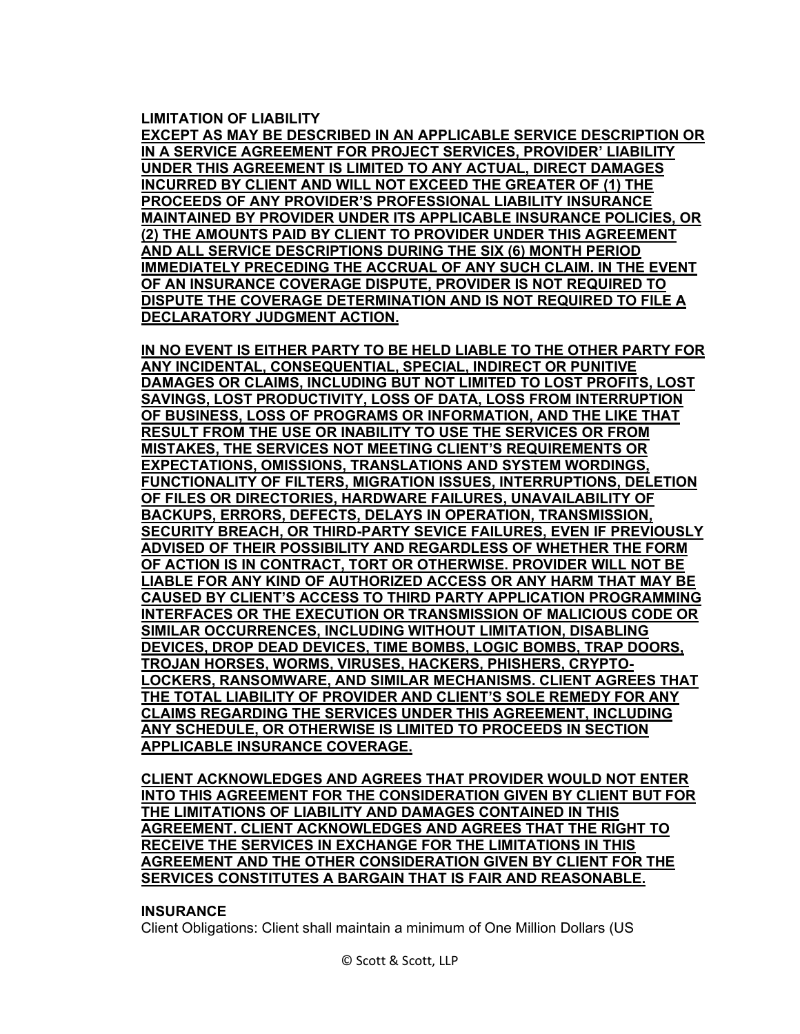#### **LIMITATION OF LIABILITY**

**EXCEPT AS MAY BE DESCRIBED IN AN APPLICABLE SERVICE DESCRIPTION OR IN A SERVICE AGREEMENT FOR PROJECT SERVICES, PROVIDER' LIABILITY UNDER THIS AGREEMENT IS LIMITED TO ANY ACTUAL, DIRECT DAMAGES INCURRED BY CLIENT AND WILL NOT EXCEED THE GREATER OF (1) THE PROCEEDS OF ANY PROVIDER'S PROFESSIONAL LIABILITY INSURANCE MAINTAINED BY PROVIDER UNDER ITS APPLICABLE INSURANCE POLICIES, OR (2) THE AMOUNTS PAID BY CLIENT TO PROVIDER UNDER THIS AGREEMENT AND ALL SERVICE DESCRIPTIONS DURING THE SIX (6) MONTH PERIOD IMMEDIATELY PRECEDING THE ACCRUAL OF ANY SUCH CLAIM. IN THE EVENT OF AN INSURANCE COVERAGE DISPUTE, PROVIDER IS NOT REQUIRED TO DISPUTE THE COVERAGE DETERMINATION AND IS NOT REQUIRED TO FILE A DECLARATORY JUDGMENT ACTION.**

**IN NO EVENT IS EITHER PARTY TO BE HELD LIABLE TO THE OTHER PARTY FOR ANY INCIDENTAL, CONSEQUENTIAL, SPECIAL, INDIRECT OR PUNITIVE DAMAGES OR CLAIMS, INCLUDING BUT NOT LIMITED TO LOST PROFITS, LOST SAVINGS, LOST PRODUCTIVITY, LOSS OF DATA, LOSS FROM INTERRUPTION OF BUSINESS, LOSS OF PROGRAMS OR INFORMATION, AND THE LIKE THAT RESULT FROM THE USE OR INABILITY TO USE THE SERVICES OR FROM MISTAKES, THE SERVICES NOT MEETING CLIENT'S REQUIREMENTS OR EXPECTATIONS, OMISSIONS, TRANSLATIONS AND SYSTEM WORDINGS, FUNCTIONALITY OF FILTERS, MIGRATION ISSUES, INTERRUPTIONS, DELETION OF FILES OR DIRECTORIES, HARDWARE FAILURES, UNAVAILABILITY OF BACKUPS, ERRORS, DEFECTS, DELAYS IN OPERATION, TRANSMISSION, SECURITY BREACH, OR THIRD-PARTY SEVICE FAILURES, EVEN IF PREVIOUSLY ADVISED OF THEIR POSSIBILITY AND REGARDLESS OF WHETHER THE FORM OF ACTION IS IN CONTRACT, TORT OR OTHERWISE. PROVIDER WILL NOT BE LIABLE FOR ANY KIND OF AUTHORIZED ACCESS OR ANY HARM THAT MAY BE CAUSED BY CLIENT'S ACCESS TO THIRD PARTY APPLICATION PROGRAMMING INTERFACES OR THE EXECUTION OR TRANSMISSION OF MALICIOUS CODE OR SIMILAR OCCURRENCES, INCLUDING WITHOUT LIMITATION, DISABLING DEVICES, DROP DEAD DEVICES, TIME BOMBS, LOGIC BOMBS, TRAP DOORS, TROJAN HORSES, WORMS, VIRUSES, HACKERS, PHISHERS, CRYPTO-LOCKERS, RANSOMWARE, AND SIMILAR MECHANISMS. CLIENT AGREES THAT THE TOTAL LIABILITY OF PROVIDER AND CLIENT'S SOLE REMEDY FOR ANY CLAIMS REGARDING THE SERVICES UNDER THIS AGREEMENT, INCLUDING ANY SCHEDULE, OR OTHERWISE IS LIMITED TO PROCEEDS IN SECTION APPLICABLE INSURANCE COVERAGE.**

**CLIENT ACKNOWLEDGES AND AGREES THAT PROVIDER WOULD NOT ENTER INTO THIS AGREEMENT FOR THE CONSIDERATION GIVEN BY CLIENT BUT FOR THE LIMITATIONS OF LIABILITY AND DAMAGES CONTAINED IN THIS AGREEMENT. CLIENT ACKNOWLEDGES AND AGREES THAT THE RIGHT TO RECEIVE THE SERVICES IN EXCHANGE FOR THE LIMITATIONS IN THIS AGREEMENT AND THE OTHER CONSIDERATION GIVEN BY CLIENT FOR THE SERVICES CONSTITUTES A BARGAIN THAT IS FAIR AND REASONABLE.**

#### **INSURANCE**

Client Obligations: Client shall maintain a minimum of One Million Dollars (US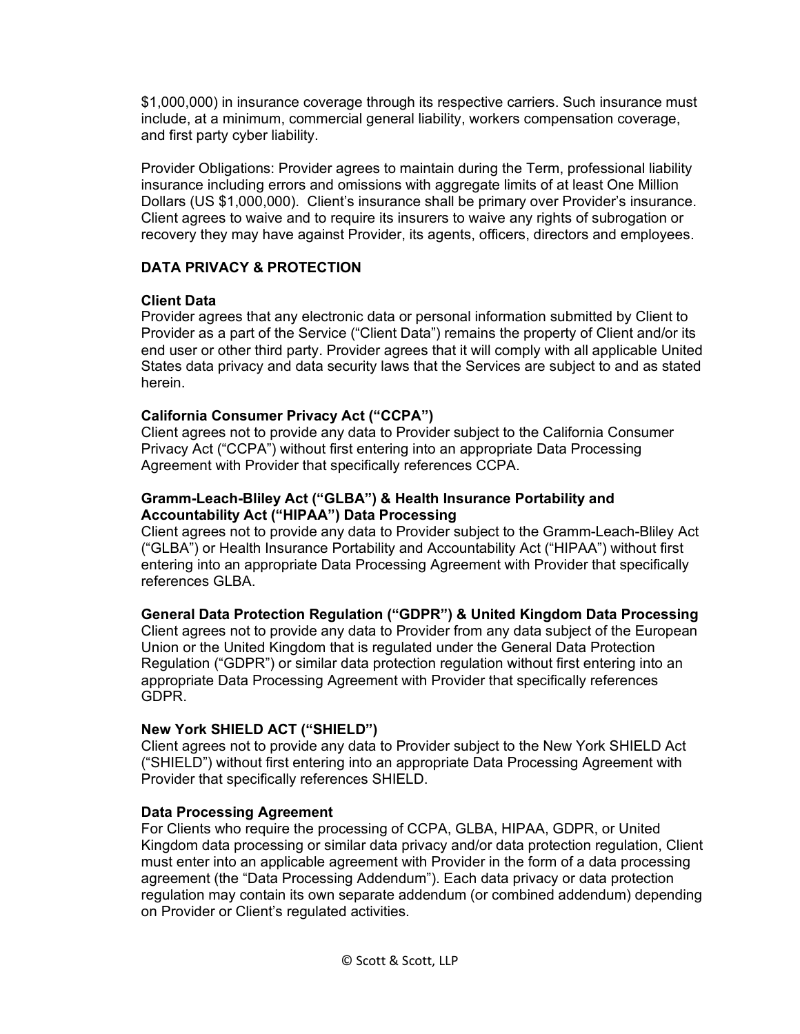\$1,000,000) in insurance coverage through its respective carriers. Such insurance must include, at a minimum, commercial general liability, workers compensation coverage, and first party cyber liability.

Provider Obligations: Provider agrees to maintain during the Term, professional liability insurance including errors and omissions with aggregate limits of at least One Million Dollars (US \$1,000,000). Client's insurance shall be primary over Provider's insurance. Client agrees to waive and to require its insurers to waive any rights of subrogation or recovery they may have against Provider, its agents, officers, directors and employees.

# **DATA PRIVACY & PROTECTION**

## **Client Data**

Provider agrees that any electronic data or personal information submitted by Client to Provider as a part of the Service ("Client Data") remains the property of Client and/or its end user or other third party. Provider agrees that it will comply with all applicable United States data privacy and data security laws that the Services are subject to and as stated herein.

# **California Consumer Privacy Act ("CCPA")**

Client agrees not to provide any data to Provider subject to the California Consumer Privacy Act ("CCPA") without first entering into an appropriate Data Processing Agreement with Provider that specifically references CCPA.

## **Gramm-Leach-Bliley Act ("GLBA") & Health Insurance Portability and Accountability Act ("HIPAA") Data Processing**

Client agrees not to provide any data to Provider subject to the Gramm-Leach-Bliley Act ("GLBA") or Health Insurance Portability and Accountability Act ("HIPAA") without first entering into an appropriate Data Processing Agreement with Provider that specifically references GLBA.

# **General Data Protection Regulation ("GDPR") & United Kingdom Data Processing**

Client agrees not to provide any data to Provider from any data subject of the European Union or the United Kingdom that is regulated under the General Data Protection Regulation ("GDPR") or similar data protection regulation without first entering into an appropriate Data Processing Agreement with Provider that specifically references GDPR.

## **New York SHIELD ACT ("SHIELD")**

Client agrees not to provide any data to Provider subject to the New York SHIELD Act ("SHIELD") without first entering into an appropriate Data Processing Agreement with Provider that specifically references SHIELD.

## **Data Processing Agreement**

For Clients who require the processing of CCPA, GLBA, HIPAA, GDPR, or United Kingdom data processing or similar data privacy and/or data protection regulation, Client must enter into an applicable agreement with Provider in the form of a data processing agreement (the "Data Processing Addendum"). Each data privacy or data protection regulation may contain its own separate addendum (or combined addendum) depending on Provider or Client's regulated activities.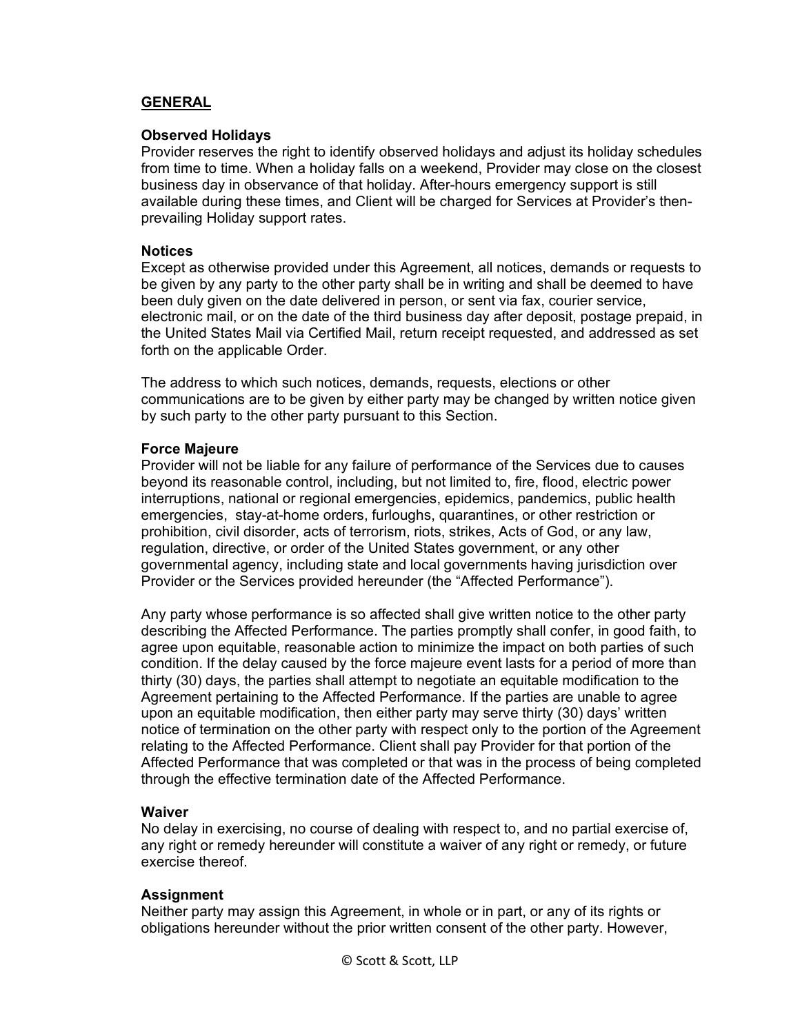## **GENERAL**

#### **Observed Holidays**

Provider reserves the right to identify observed holidays and adjust its holiday schedules from time to time. When a holiday falls on a weekend, Provider may close on the closest business day in observance of that holiday. After-hours emergency support is still available during these times, and Client will be charged for Services at Provider's thenprevailing Holiday support rates.

#### **Notices**

Except as otherwise provided under this Agreement, all notices, demands or requests to be given by any party to the other party shall be in writing and shall be deemed to have been duly given on the date delivered in person, or sent via fax, courier service, electronic mail, or on the date of the third business day after deposit, postage prepaid, in the United States Mail via Certified Mail, return receipt requested, and addressed as set forth on the applicable Order.

The address to which such notices, demands, requests, elections or other communications are to be given by either party may be changed by written notice given by such party to the other party pursuant to this Section.

#### **Force Majeure**

Provider will not be liable for any failure of performance of the Services due to causes beyond its reasonable control, including, but not limited to, fire, flood, electric power interruptions, national or regional emergencies, epidemics, pandemics, public health emergencies, stay-at-home orders, furloughs, quarantines, or other restriction or prohibition, civil disorder, acts of terrorism, riots, strikes, Acts of God, or any law, regulation, directive, or order of the United States government, or any other governmental agency, including state and local governments having jurisdiction over Provider or the Services provided hereunder (the "Affected Performance").

Any party whose performance is so affected shall give written notice to the other party describing the Affected Performance. The parties promptly shall confer, in good faith, to agree upon equitable, reasonable action to minimize the impact on both parties of such condition. If the delay caused by the force majeure event lasts for a period of more than thirty (30) days, the parties shall attempt to negotiate an equitable modification to the Agreement pertaining to the Affected Performance. If the parties are unable to agree upon an equitable modification, then either party may serve thirty (30) days' written notice of termination on the other party with respect only to the portion of the Agreement relating to the Affected Performance. Client shall pay Provider for that portion of the Affected Performance that was completed or that was in the process of being completed through the effective termination date of the Affected Performance.

#### **Waiver**

No delay in exercising, no course of dealing with respect to, and no partial exercise of, any right or remedy hereunder will constitute a waiver of any right or remedy, or future exercise thereof.

## **Assignment**

Neither party may assign this Agreement, in whole or in part, or any of its rights or obligations hereunder without the prior written consent of the other party. However,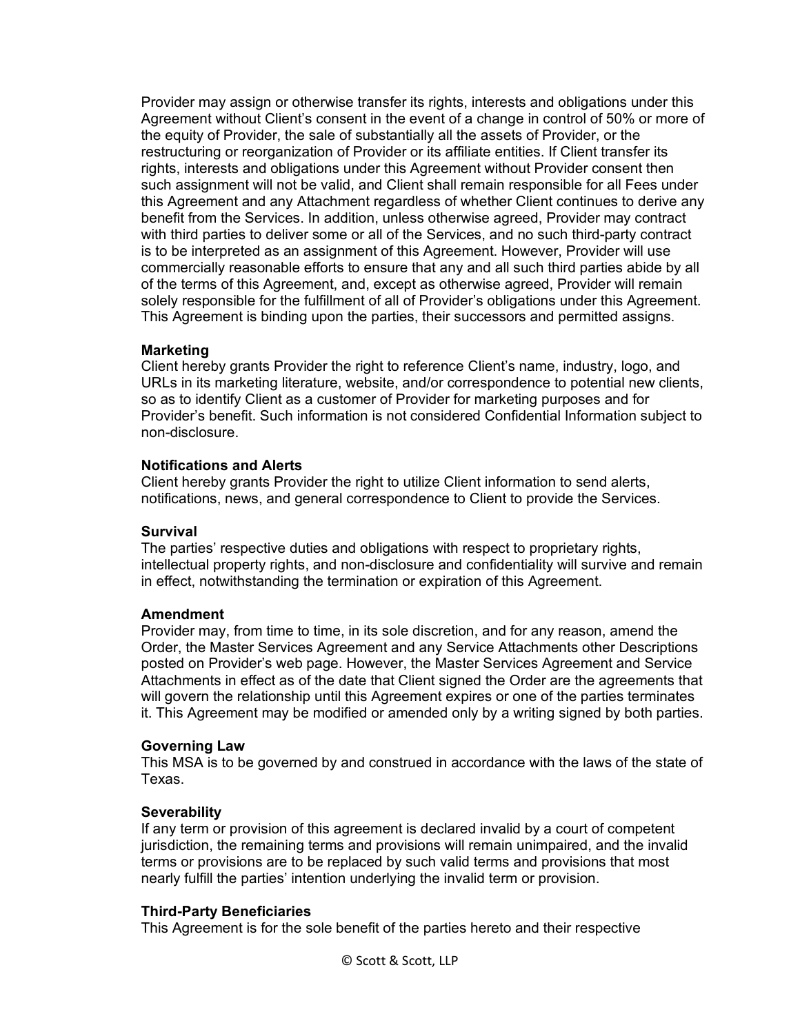Provider may assign or otherwise transfer its rights, interests and obligations under this Agreement without Client's consent in the event of a change in control of 50% or more of the equity of Provider, the sale of substantially all the assets of Provider, or the restructuring or reorganization of Provider or its affiliate entities. If Client transfer its rights, interests and obligations under this Agreement without Provider consent then such assignment will not be valid, and Client shall remain responsible for all Fees under this Agreement and any Attachment regardless of whether Client continues to derive any benefit from the Services. In addition, unless otherwise agreed, Provider may contract with third parties to deliver some or all of the Services, and no such third-party contract is to be interpreted as an assignment of this Agreement. However, Provider will use commercially reasonable efforts to ensure that any and all such third parties abide by all of the terms of this Agreement, and, except as otherwise agreed, Provider will remain solely responsible for the fulfillment of all of Provider's obligations under this Agreement. This Agreement is binding upon the parties, their successors and permitted assigns.

## **Marketing**

Client hereby grants Provider the right to reference Client's name, industry, logo, and URLs in its marketing literature, website, and/or correspondence to potential new clients, so as to identify Client as a customer of Provider for marketing purposes and for Provider's benefit. Such information is not considered Confidential Information subject to non-disclosure.

#### **Notifications and Alerts**

Client hereby grants Provider the right to utilize Client information to send alerts, notifications, news, and general correspondence to Client to provide the Services.

#### **Survival**

The parties' respective duties and obligations with respect to proprietary rights, intellectual property rights, and non-disclosure and confidentiality will survive and remain in effect, notwithstanding the termination or expiration of this Agreement.

#### **Amendment**

Provider may, from time to time, in its sole discretion, and for any reason, amend the Order, the Master Services Agreement and any Service Attachments other Descriptions posted on Provider's web page. However, the Master Services Agreement and Service Attachments in effect as of the date that Client signed the Order are the agreements that will govern the relationship until this Agreement expires or one of the parties terminates it. This Agreement may be modified or amended only by a writing signed by both parties.

#### **Governing Law**

This MSA is to be governed by and construed in accordance with the laws of the state of Texas.

#### **Severability**

If any term or provision of this agreement is declared invalid by a court of competent jurisdiction, the remaining terms and provisions will remain unimpaired, and the invalid terms or provisions are to be replaced by such valid terms and provisions that most nearly fulfill the parties' intention underlying the invalid term or provision.

#### **Third-Party Beneficiaries**

This Agreement is for the sole benefit of the parties hereto and their respective